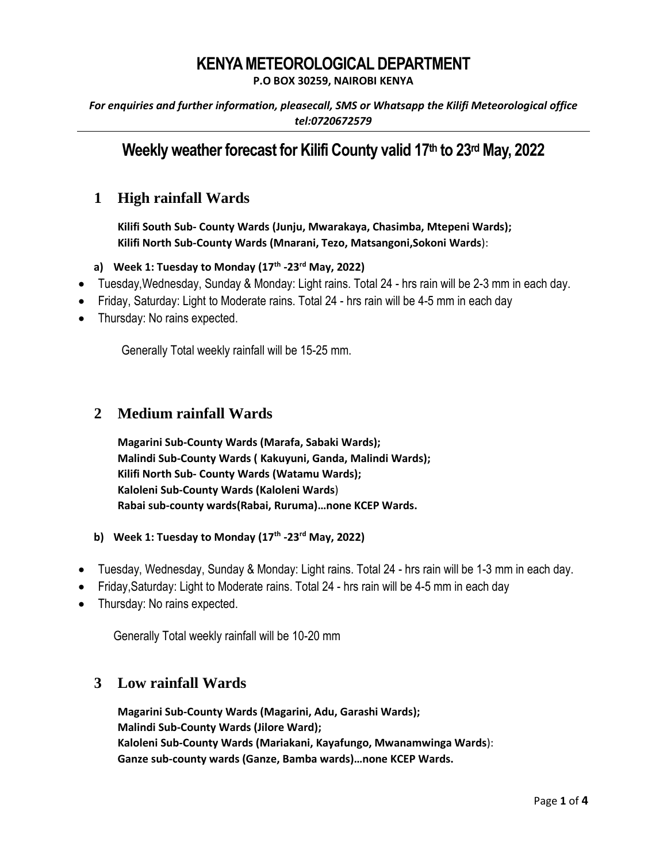# **KENYA METEOROLOGICAL DEPARTMENT**

**P.O BOX 30259, NAIROBI KENYA**

*For enquiries and further information, pleasecall, SMS or Whatsapp the Kilifi Meteorological office tel:0720672579*

# **Weekly weather forecast for Kilifi County valid 17 th to 23rdMay, 2022**

## **1 High rainfall Wards**

**Kilifi South Sub- County Wards (Junju, Mwarakaya, Chasimba, Mtepeni Wards); Kilifi North Sub-County Wards (Mnarani, Tezo, Matsangoni,Sokoni Wards**):

#### **a) Week 1: Tuesday to Monday (17th -23rd May, 2022)**

- Tuesday,Wednesday, Sunday & Monday: Light rains. Total 24 hrs rain will be 2-3 mm in each day.
- Friday, Saturday: Light to Moderate rains. Total 24 hrs rain will be 4-5 mm in each day
- Thursday: No rains expected.

Generally Total weekly rainfall will be 15-25 mm.

### **2 Medium rainfall Wards**

**Magarini Sub-County Wards (Marafa, Sabaki Wards); Malindi Sub-County Wards ( Kakuyuni, Ganda, Malindi Wards); Kilifi North Sub- County Wards (Watamu Wards); Kaloleni Sub-County Wards (Kaloleni Wards**) **Rabai sub-county wards(Rabai, Ruruma)…none KCEP Wards.**

- **b) Week 1: Tuesday to Monday (17th -23rd May, 2022)**
- Tuesday, Wednesday, Sunday & Monday: Light rains. Total 24 hrs rain will be 1-3 mm in each day.
- Friday,Saturday: Light to Moderate rains. Total 24 hrs rain will be 4-5 mm in each day
- Thursday: No rains expected.

Generally Total weekly rainfall will be 10-20 mm

### **3 Low rainfall Wards**

**Magarini Sub-County Wards (Magarini, Adu, Garashi Wards); Malindi Sub-County Wards (Jilore Ward); Kaloleni Sub-County Wards (Mariakani, Kayafungo, Mwanamwinga Wards**): **Ganze sub-county wards (Ganze, Bamba wards)…none KCEP Wards.**